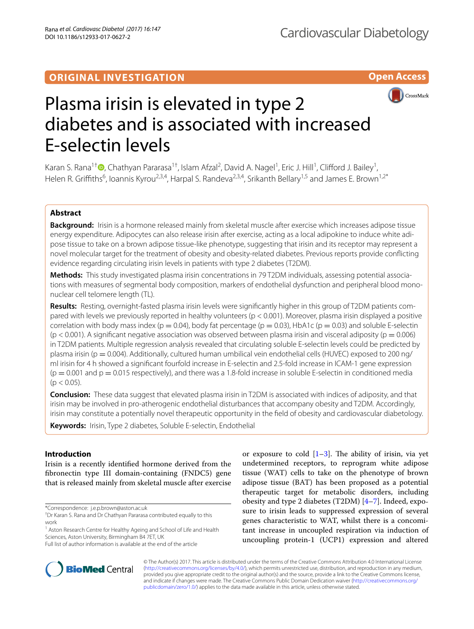# **ORIGINAL INVESTIGATION**

**Open Access**



# Plasma irisin is elevated in type 2 diabetes and is associated with increased E-selectin levels

Karan S. Rana<sup>1†</sup>®[,](http://orcid.org/0000-0003-3061-5156) Chathyan Pararasa<sup>1†</sup>, Islam Afzal<sup>2</sup>, David A. Nagel<sup>1</sup>, Eric J. Hill<sup>1</sup>, Clifford J. Bailey<sup>1</sup>, Helen R. Griffiths<sup>6</sup>, Ioannis Kyrou<sup>2,3,4</sup>, Harpal S. Randeva<sup>2,3,4</sup>, Srikanth Bellary<sup>1,5</sup> and James E. Brown<sup>1,2\*</sup>

# **Abstract**

**Background:** Irisin is a hormone released mainly from skeletal muscle after exercise which increases adipose tissue energy expenditure. Adipocytes can also release irisin after exercise, acting as a local adipokine to induce white adipose tissue to take on a brown adipose tissue-like phenotype, suggesting that irisin and its receptor may represent a novel molecular target for the treatment of obesity and obesity-related diabetes. Previous reports provide conficting evidence regarding circulating irisin levels in patients with type 2 diabetes (T2DM).

**Methods:** This study investigated plasma irisin concentrations in 79 T2DM individuals, assessing potential associations with measures of segmental body composition, markers of endothelial dysfunction and peripheral blood mononuclear cell telomere length (TL).

**Results:** Resting, overnight-fasted plasma irisin levels were signifcantly higher in this group of T2DM patients compared with levels we previously reported in healthy volunteers (p < 0.001). Moreover, plasma irisin displayed a positive correlation with body mass index ( $p = 0.04$ ), body fat percentage ( $p = 0.03$ ), HbA1c ( $p = 0.03$ ) and soluble E-selectin  $(p < 0.001)$ . A significant negative association was observed between plasma irisin and visceral adiposity ( $p = 0.006$ ) in T2DM patients. Multiple regression analysis revealed that circulating soluble E-selectin levels could be predicted by plasma irisin ( $p = 0.004$ ). Additionally, cultured human umbilical vein endothelial cells (HUVEC) exposed to 200 ng/ ml irisin for 4 h showed a signifcant fourfold increase in E-selectin and 2.5-fold increase in ICAM-1 gene expression  $(p = 0.001$  and  $p = 0.015$  respectively), and there was a 1.8-fold increase in soluble E-selectin in conditioned media  $(p < 0.05)$ .

**Conclusion:** These data suggest that elevated plasma irisin in T2DM is associated with indices of adiposity, and that irisin may be involved in pro-atherogenic endothelial disturbances that accompany obesity and T2DM. Accordingly, irisin may constitute a potentially novel therapeutic opportunity in the feld of obesity and cardiovascular diabetology.

**Keywords:** Irisin, Type 2 diabetes, Soluble E-selectin, Endothelial

# **Introduction**

Irisin is a recently identifed hormone derived from the fbronectin type III domain-containing (FNDC5) gene that is released mainly from skeletal muscle after exercise

\*Correspondence: j.e.p.brown@aston.ac.uk

<sup>1</sup> Aston Research Centre for Healthy Ageing and School of Life and Health Sciences, Aston University, Birmingham B4 7ET, UK





© The Author(s) 2017. This article is distributed under the terms of the Creative Commons Attribution 4.0 International License [\(http://creativecommons.org/licenses/by/4.0/\)](http://creativecommons.org/licenses/by/4.0/), which permits unrestricted use, distribution, and reproduction in any medium, provided you give appropriate credit to the original author(s) and the source, provide a link to the Creative Commons license, and indicate if changes were made. The Creative Commons Public Domain Dedication waiver ([http://creativecommons.org/](http://creativecommons.org/publicdomain/zero/1.0/) [publicdomain/zero/1.0/](http://creativecommons.org/publicdomain/zero/1.0/)) applies to the data made available in this article, unless otherwise stated.

<sup>†</sup> Dr Karan S. Rana and Dr Chathyan Pararasa contributed equally to this work

Full list of author information is available at the end of the article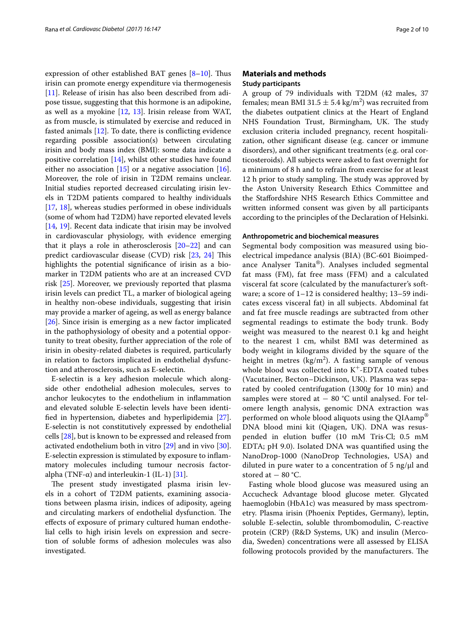expression of other established BAT genes  $[8-10]$  $[8-10]$ . Thus irisin can promote energy expenditure via thermogenesis [[11\]](#page-8-6). Release of irisin has also been described from adipose tissue, suggesting that this hormone is an adipokine, as well as a myokine [\[12](#page-8-7), [13\]](#page-8-8). Irisin release from WAT, as from muscle, is stimulated by exercise and reduced in fasted animals [\[12](#page-8-7)]. To date, there is conficting evidence regarding possible association(s) between circulating irisin and body mass index (BMI): some data indicate a positive correlation [[14](#page-8-9)], whilst other studies have found either no association  $[15]$  $[15]$  or a negative association  $[16]$  $[16]$ . Moreover, the role of irisin in T2DM remains unclear. Initial studies reported decreased circulating irisin levels in T2DM patients compared to healthy individuals [[17,](#page-8-12) [18\]](#page-8-13), whereas studies performed in obese individuals (some of whom had T2DM) have reported elevated levels [[14,](#page-8-9) [19\]](#page-8-14). Recent data indicate that irisin may be involved in cardiovascular physiology, with evidence emerging that it plays a role in atherosclerosis  $[20-22]$  $[20-22]$  and can predict cardiovascular disease (CVD) risk [\[23](#page-8-17), [24](#page-8-18)] This highlights the potential signifcance of irisin as a biomarker in T2DM patients who are at an increased CVD risk [\[25](#page-8-19)]. Moreover, we previously reported that plasma irisin levels can predict TL, a marker of biological ageing in healthy non-obese individuals, suggesting that irisin may provide a marker of ageing, as well as energy balance [[26\]](#page-8-20). Since irisin is emerging as a new factor implicated in the pathophysiology of obesity and a potential opportunity to treat obesity, further appreciation of the role of irisin in obesity-related diabetes is required, particularly in relation to factors implicated in endothelial dysfunction and atherosclerosis, such as E-selectin.

E-selectin is a key adhesion molecule which alongside other endothelial adhesion molecules, serves to anchor leukocytes to the endothelium in infammation and elevated soluble E-selectin levels have been identifed in hypertension, diabetes and hyperlipidemia [\[27](#page-8-21)]. E-selectin is not constitutively expressed by endothelial cells [[28\]](#page-8-22), but is known to be expressed and released from activated endothelium both in vitro [\[29](#page-8-23)] and in vivo [\[30](#page-8-24)]. E-selectin expression is stimulated by exposure to infammatory molecules including tumour necrosis factoralpha (TNF- $\alpha$ ) and interleukin-1 (IL-1) [[31\]](#page-8-25).

The present study investigated plasma irisin levels in a cohort of T2DM patients, examining associations between plasma irisin, indices of adiposity, ageing and circulating markers of endothelial dysfunction. The efects of exposure of primary cultured human endothelial cells to high irisin levels on expression and secretion of soluble forms of adhesion molecules was also investigated.

# **Materials and methods Study participants**

A group of 79 individuals with T2DM (42 males, 37 females; mean BMI 31.5  $\pm$  5.4 kg/m<sup>2</sup>) was recruited from the diabetes outpatient clinics at the Heart of England NHS Foundation Trust, Birmingham, UK. The study exclusion criteria included pregnancy, recent hospitalization, other signifcant disease (e.g. cancer or immune disorders), and other signifcant treatments (e.g. oral corticosteroids). All subjects were asked to fast overnight for a minimum of 8 h and to refrain from exercise for at least 12 h prior to study sampling. The study was approved by the Aston University Research Ethics Committee and the Stafordshire NHS Research Ethics Committee and written informed consent was given by all participants according to the principles of the Declaration of Helsinki.

# **Anthropometric and biochemical measures**

Segmental body composition was measured using bioelectrical impedance analysis (BIA) (BC-601 Bioimpedance Analyser Tanita®). Analyses included segmental fat mass (FM), fat free mass (FFM) and a calculated visceral fat score (calculated by the manufacturer's software; a score of 1–12 is considered healthy; 13–59 indicates excess visceral fat) in all subjects. Abdominal fat and fat free muscle readings are subtracted from other segmental readings to estimate the body trunk. Body weight was measured to the nearest 0.1 kg and height to the nearest 1 cm, whilst BMI was determined as body weight in kilograms divided by the square of the height in metres  $(kg/m^2)$ . A fasting sample of venous whole blood was collected into  $K^+$ -EDTA coated tubes (Vacutainer, Becton–Dickinson, UK). Plasma was separated by cooled centrifugation (1300*g* for 10 min) and samples were stored at  $-$  80 °C until analysed. For telomere length analysis, genomic DNA extraction was performed on whole blood aliquots using the QIAamp® DNA blood mini kit (Qiagen, UK). DNA was resuspended in elution bufer (10 mM Tris·Cl; 0.5 mM EDTA; pH 9.0). Isolated DNA was quantifed using the NanoDrop-1000 (NanoDrop Technologies, USA) and diluted in pure water to a concentration of 5 ng/ $\mu$ l and stored at  $-80$  °C.

Fasting whole blood glucose was measured using an Accucheck Advantage blood glucose meter. Glycated haemoglobin (HbA1c) was measured by mass spectrometry. Plasma irisin (Phoenix Peptides, Germany), leptin, soluble E-selectin, soluble thrombomodulin, C-reactive protein (CRP) (R&D Systems, UK) and insulin (Mercodia, Sweden) concentrations were all assessed by ELISA following protocols provided by the manufacturers. The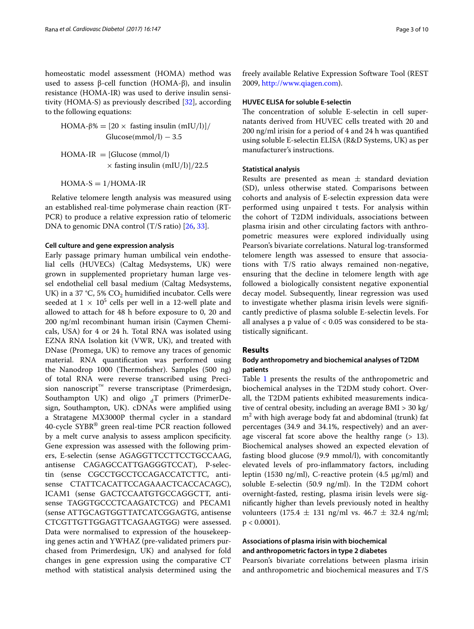homeostatic model assessment (HOMA) method was used to assess β-cell function (HOMA-β), and insulin resistance (HOMA-IR) was used to derive insulin sensitivity (HOMA-S) as previously described [\[32](#page-8-26)], according to the following equations:

HOMA-β% =  $[20 \times$  fasting insulin (mIU/l)]/  $Glucose(mmol/l) - 3.5$ 

 $HOMA-IR = [Glucose (mmol/l)]$  $\times$  fasting insulin (mIU/l)]/22.5

 $HOMA-S = 1/HOMA-IR$ 

Relative telomere length analysis was measured using an established real-time polymerase chain reaction (RT-PCR) to produce a relative expression ratio of telomeric DNA to genomic DNA control (T/S ratio) [\[26,](#page-8-20) [33](#page-8-27)].

#### **Cell culture and gene expression analysis**

Early passage primary human umbilical vein endothelial cells (HUVECs) (Caltag Medsystems, UK) were grown in supplemented proprietary human large vessel endothelial cell basal medium (Caltag Medsystems, UK) in a 37 °C, 5%  $CO<sub>2</sub>$  humidified incubator. Cells were seeded at  $1 \times 10^5$  cells per well in a 12-well plate and allowed to attach for 48 h before exposure to 0, 20 and 200 ng/ml recombinant human irisin (Caymen Chemicals, USA) for 4 or 24 h. Total RNA was isolated using EZNA RNA Isolation kit (VWR, UK), and treated with DNase (Promega, UK) to remove any traces of genomic material. RNA quantifcation was performed using the Nanodrop 1000 (Thermofisher). Samples (500 ng) of total RNA were reverse transcribed using Precision nanoscript<sup>™</sup> reverse transcriptase (Primerdesign, Southampton UK) and oligo  $_{d}T$  primers (PrimerDesign, Southampton, UK). cDNAs were amplifed using a Stratagene MX3000P thermal cycler in a standard 40-cycle SYBR® green real-time PCR reaction followed by a melt curve analysis to assess amplicon specifcity. Gene expression was assessed with the following primers, E-selectin (sense AGAGGTTCCTTCCTGCCAAG, antisense CAGAGCCATTGAGGGTCCAT), P-selectin (sense CGCCTGCCTCCAGACCATCTTC, antisense CTATTCACATTCCAGAAACTCACCACAGC), ICAM1 (sense GACTCCAATGTGCCAGGCTT, antisense TAGGTGCCCTCAAGATCTCG) and PECAM1 (sense ATTGCAGTGGTTATCATCGGAGTG, antisense CTCGTTGTTGGAGTTCAGAAGTGG) were assessed. Data were normalised to expression of the housekeeping genes actin and YWHAZ (pre-validated primers purchased from Primerdesign, UK) and analysed for fold changes in gene expression using the comparative CT method with statistical analysis determined using the

freely available Relative Expression Software Tool (REST 2009, <http://www.qiagen.com>).

### **HUVEC ELISA for soluble E‑selectin**

The concentration of soluble E-selectin in cell supernatants derived from HUVEC cells treated with 20 and 200 ng/ml irisin for a period of 4 and 24 h was quantifed using soluble E-selectin ELISA (R&D Systems, UK) as per manufacturer's instructions.

# **Statistical analysis**

Results are presented as mean  $\pm$  standard deviation (SD), unless otherwise stated. Comparisons between cohorts and analysis of E-selectin expression data were performed using unpaired t tests. For analysis within the cohort of T2DM individuals, associations between plasma irisin and other circulating factors with anthropometric measures were explored individually using Pearson's bivariate correlations. Natural log-transformed telomere length was assessed to ensure that associations with T/S ratio always remained non-negative, ensuring that the decline in telomere length with age followed a biologically consistent negative exponential decay model. Subsequently, linear regression was used to investigate whether plasma irisin levels were signifcantly predictive of plasma soluble E-selectin levels. For all analyses a p value of  $< 0.05$  was considered to be statistically signifcant.

# **Results**

# **Body anthropometry and biochemical analyses of T2DM patients**

Table [1](#page-3-0) presents the results of the anthropometric and biochemical analyses in the T2DM study cohort. Overall, the T2DM patients exhibited measurements indicative of central obesity, including an average BMI > 30 kg/ m2 with high average body fat and abdominal (trunk) fat percentages (34.9 and 34.1%, respectively) and an average visceral fat score above the healthy range  $(> 13)$ . Biochemical analyses showed an expected elevation of fasting blood glucose (9.9 mmol/l), with concomitantly elevated levels of pro-infammatory factors, including leptin (1530 ng/ml), C-reactive protein (4.5 μg/ml) and soluble E-selectin (50.9 ng/ml). In the T2DM cohort overnight-fasted, resting, plasma irisin levels were signifcantly higher than levels previously noted in healthy volunteers (175.4  $\pm$  131 ng/ml vs. 46.7  $\pm$  32.4 ng/ml;  $p < 0.0001$ ).

# **Associations of plasma irisin with biochemical and anthropometric factors in type 2 diabetes**

Pearson's bivariate correlations between plasma irisin and anthropometric and biochemical measures and T/S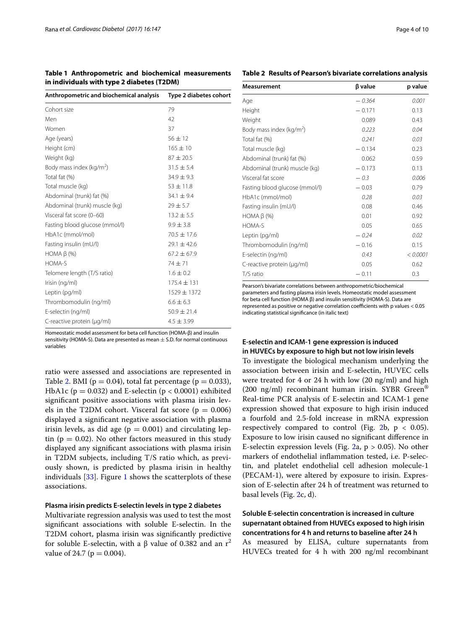<span id="page-3-0"></span>**Table 1 Anthropometric and biochemical measurements in individuals with type 2 diabetes (T2DM)**

<span id="page-3-1"></span>

| Table 2 Results of Pearson's bivariate correlations analysis |
|--------------------------------------------------------------|
|--------------------------------------------------------------|

Body m

| Anthropometric and biochemical analysis | Type 2 diabetes cohort |  |
|-----------------------------------------|------------------------|--|
| Cohort size                             | 79                     |  |
| Men                                     | 42                     |  |
| Women                                   | 37                     |  |
| Age (years)                             | $56 \pm 12$            |  |
| Height (cm)                             | $165 + 10$             |  |
| Weight (kg)                             | $87 \pm 20.5$          |  |
| Body mass index ( $kg/m2$ )             | $31.5 \pm 5.4$         |  |
| Total fat (%)                           | $34.9 \pm 9.3$         |  |
| Total muscle (kg)                       | $53 + 11.8$            |  |
| Abdominal (trunk) fat (%)               | $34.1 \pm 9.4$         |  |
| Abdominal (trunk) muscle (kg)           | $29 \pm 5.7$           |  |
| Visceral fat score (0-60)               | $13.2 \pm 5.5$         |  |
| Fasting blood glucose (mmol/l)          | $9.9 \pm 3.8$          |  |
| HbA1c (mmol/mol)                        | $70.5 \pm 17.6$        |  |
| Fasting insulin (mU/l)                  | $79.1 + 42.6$          |  |
| HOMA $\beta$ (%)                        | $67.2 \pm 67.9$        |  |
| HOMA-S                                  | $74 + 71$              |  |
| Telomere length (T/S ratio)             | $1.6 \pm 0.2$          |  |
| Irisin (ng/ml)                          | $175.4 \pm 131$        |  |
| Leptin (pg/ml)                          | $1529 \pm 1372$        |  |
| Thrombomodulin (ng/ml)                  | $6.6 \pm 6.3$          |  |
| E-selectin (ng/ml)                      | $50.9 \pm 21.4$        |  |
| C-reactive protein (µg/ml)              | $4.5 \pm 3.99$         |  |

Homeostatic model assessment for beta cell function (HOMA-β) and insulin sensitivity (HOMA-S). Data are presented as mean  $\pm$  S.D. for normal continuous variables

ratio were assessed and associations are represented in Table [2.](#page-3-1) BMI ( $p = 0.04$ ), total fat percentage ( $p = 0.033$ ), HbA1c ( $p = 0.032$ ) and E-selectin ( $p < 0.0001$ ) exhibited signifcant positive associations with plasma irisin levels in the T2DM cohort. Visceral fat score ( $p = 0.006$ ) displayed a signifcant negative association with plasma irisin levels, as did age ( $p = 0.001$ ) and circulating leptin ( $p = 0.02$ ). No other factors measured in this study displayed any signifcant associations with plasma irisin in T2DM subjects, including T/S ratio which, as previously shown, is predicted by plasma irisin in healthy individuals [[33\]](#page-8-27). Figure [1](#page-4-0) shows the scatterplots of these associations.

# **Plasma irisin predicts E‑selectin levels in type 2 diabetes**

Multivariate regression analysis was used to test the most signifcant associations with soluble E-selectin. In the T2DM cohort, plasma irisin was signifcantly predictive for soluble E-selectin, with a β value of 0.382 and an  $r^2$ value of 24.7 ( $p = 0.004$ ).

| Measurement                          | β value  | p value |
|--------------------------------------|----------|---------|
| Age                                  | $-.364$  | 0.001   |
| Height                               | $-0.171$ | 0.13    |
| Weight                               | 0.089    | 0.43    |
| Body mass index (kg/m <sup>2</sup> ) | 0.223    | 0.04    |
| Total fat (%)                        | 0.241    | 0.03    |
| Total muscle (kg)                    | $-0.134$ | 0.23    |
| Abdominal (trunk) fat (%)            | 0.062    | 0.59    |
| Abdominal (trunk) muscle (kg)        | $-0.173$ | 0.13    |
| Visceral fat score                   | $-0.3$   | 0.006   |
| Fasting blood glucose (mmol/l)       | $-0.03$  | 0.79    |
| HbA1c (mmol/mol)                     | 0.28     | 0.03    |
| Fasting insulin (mU/l)               | 0.08     | 0.46    |
| HOMA $\beta$ (%)                     | 0.01     | 0.92    |

Pearson's bivariate correlations between anthropometric/biochemical parameters and fasting plasma irisin levels. Homeostatic model assessment for beta cell function (HOMA β) and insulin sensitivity (HOMA-S). Data are represented as positive or negative correlation coefficients with p values < 0.05 indicating statistical signifcance (in italic text) C-reactive protein (µg/ml) 0.05 0.62  $T/S$  ratio  $-0.11$  0.3

HOMA-S 0.05 0.65 Leptin (pg/ml) − *0.24 0.02*  $\frac{1}{2}$ Thrombomodulin (ng/ml)  $-0.16$  0.15 E-selectin (ng/ml) *0.43* < *0.0001*

# **E‑selectin and ICAM‑1 gene expression is induced in HUVECs by exposure to high but not low irisin levels**

To investigate the biological mechanism underlying the association between irisin and E-selectin, HUVEC cells were treated for 4 or 24 h with low (20 ng/ml) and high (200 ng/ml) recombinant human irisin. SYBR Green<sup>®</sup> Real-time PCR analysis of E-selectin and ICAM-1 gene expression showed that exposure to high irisin induced a fourfold and 2.5-fold increase in mRNA expression respectively compared to control (Fig. [2b](#page-5-0),  $p < 0.05$ ). Exposure to low irisin caused no signifcant diference in E-selectin expression levels (Fig. [2](#page-5-0)a,  $p > 0.05$ ). No other markers of endothelial infammation tested, i.e. P-selectin, and platelet endothelial cell adhesion molecule-1 (PECAM-1), were altered by exposure to irisin. Expression of E-selectin after 24 h of treatment was returned to basal levels (Fig. [2c](#page-5-0), d).

# **Soluble E‑selectin concentration is increased in culture supernatant obtained from HUVECs exposed to high irisin concentrations for 4 h and returns to baseline after 24 h** As measured by ELISA, culture supernatants from

HUVECs treated for 4 h with 200 ng/ml recombinant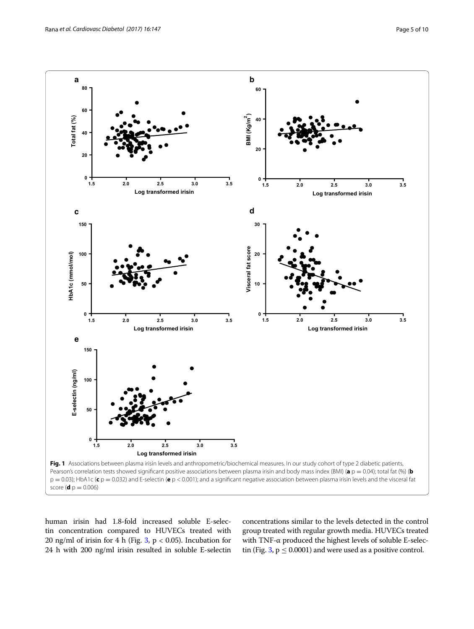

<span id="page-4-0"></span>human irisin had 1.8-fold increased soluble E-selectin concentration compared to HUVECs treated with 20 ng/ml of irisin for 4 h (Fig. [3](#page-6-0),  $p < 0.05$ ). Incubation for 24 h with 200 ng/ml irisin resulted in soluble E-selectin concentrations similar to the levels detected in the control group treated with regular growth media. HUVECs treated with TNF-α produced the highest levels of soluble E-selec-tin (Fig. [3,](#page-6-0)  $p \le 0.0001$ ) and were used as a positive control.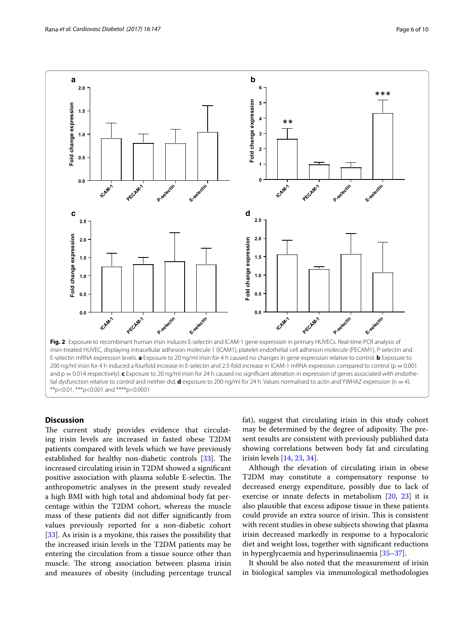

# <span id="page-5-0"></span>**Discussion**

The current study provides evidence that circulating irisin levels are increased in fasted obese T2DM patients compared with levels which we have previously established for healthy non-diabetic controls  $[33]$  $[33]$ . The increased circulating irisin in T2DM showed a signifcant positive association with plasma soluble E-selectin. The anthropometric analyses in the present study revealed a high BMI with high total and abdominal body fat percentage within the T2DM cohort, whereas the muscle mass of these patients did not difer signifcantly from values previously reported for a non-diabetic cohort [[33\]](#page-8-27). As irisin is a myokine, this raises the possibility that the increased irisin levels in the T2DM patients may be entering the circulation from a tissue source other than muscle. The strong association between plasma irisin and measures of obesity (including percentage truncal fat), suggest that circulating irisin in this study cohort may be determined by the degree of adiposity. The present results are consistent with previously published data showing correlations between body fat and circulating irisin levels [\[14,](#page-8-9) [23](#page-8-17), [34\]](#page-8-28).

Although the elevation of circulating irisin in obese T2DM may constitute a compensatory response to decreased energy expenditure, possibly due to lack of exercise or innate defects in metabolism [\[20](#page-8-15), [23\]](#page-8-17) it is also plausible that excess adipose tissue in these patients could provide an extra source of irisin. This is consistent with recent studies in obese subjects showing that plasma irisin decreased markedly in response to a hypocaloric diet and weight loss, together with signifcant reductions in hyperglycaemia and hyperinsulinaemia [\[35–](#page-8-29)[37\]](#page-8-30).

It should be also noted that the measurement of irisin in biological samples via immunological methodologies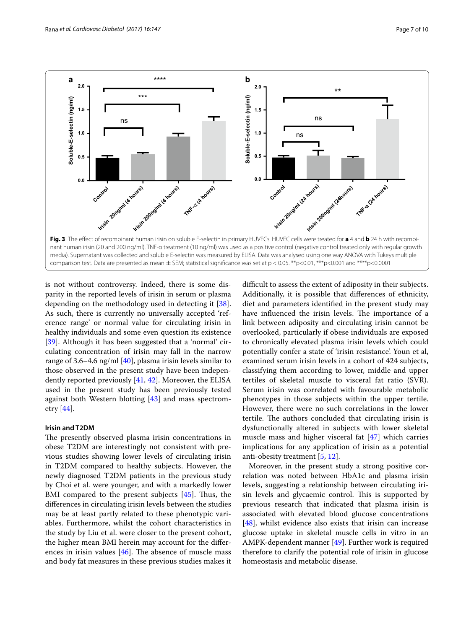

<span id="page-6-0"></span>is not without controversy. Indeed, there is some disparity in the reported levels of irisin in serum or plasma depending on the methodology used in detecting it [\[38](#page-8-31)]. As such, there is currently no universally accepted 'reference range' or normal value for circulating irisin in healthy individuals and some even question its existence [[39\]](#page-8-32). Although it has been suggested that a 'normal' circulating concentration of irisin may fall in the narrow range of 3.6–4.6 ng/ml [[40\]](#page-9-0), plasma irisin levels similar to those observed in the present study have been independently reported previously [\[41,](#page-9-1) [42\]](#page-9-2). Moreover, the ELISA used in the present study has been previously tested against both Western blotting [[43\]](#page-9-3) and mass spectrometry [[44](#page-9-4)].

# **Irisin and T2DM**

The presently observed plasma irisin concentrations in obese T2DM are interestingly not consistent with previous studies showing lower levels of circulating irisin in T2DM compared to healthy subjects. However, the newly diagnosed T2DM patients in the previous study by Choi et al. were younger, and with a markedly lower BMI compared to the present subjects  $[45]$  $[45]$ . Thus, the diferences in circulating irisin levels between the studies may be at least partly related to these phenotypic variables. Furthermore, whilst the cohort characteristics in the study by Liu et al. were closer to the present cohort, the higher mean BMI herein may account for the diferences in irisin values  $[46]$  $[46]$ . The absence of muscle mass and body fat measures in these previous studies makes it

difficult to assess the extent of adiposity in their subjects. Additionally, it is possible that diferences of ethnicity, diet and parameters identifed in the present study may have influenced the irisin levels. The importance of a link between adiposity and circulating irisin cannot be overlooked, particularly if obese individuals are exposed to chronically elevated plasma irisin levels which could potentially confer a state of 'irisin resistance'. Youn et al, examined serum irisin levels in a cohort of 424 subjects, classifying them according to lower, middle and upper tertiles of skeletal muscle to visceral fat ratio (SVR). Serum irisin was correlated with favourable metabolic phenotypes in those subjects within the upper tertile. However, there were no such correlations in the lower tertile. The authors concluded that circulating irisin is dysfunctionally altered in subjects with lower skeletal muscle mass and higher visceral fat [[47\]](#page-9-7) which carries implications for any application of irisin as a potential anti-obesity treatment [[5,](#page-8-33) [12](#page-8-7)].

Moreover, in the present study a strong positive correlation was noted between HbA1c and plasma irisin levels, suggesting a relationship between circulating irisin levels and glycaemic control. This is supported by previous research that indicated that plasma irisin is associated with elevated blood glucose concentrations [[48\]](#page-9-8), whilst evidence also exists that irisin can increase glucose uptake in skeletal muscle cells in vitro in an AMPK-dependent manner [\[49\]](#page-9-9). Further work is required therefore to clarify the potential role of irisin in glucose homeostasis and metabolic disease.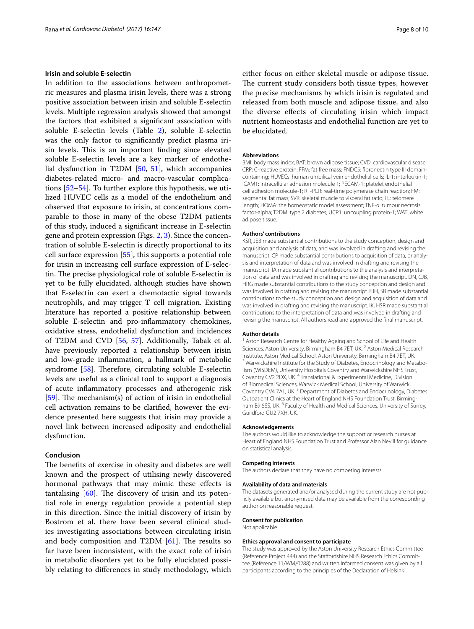# **Irisin and soluble E‑selectin**

In addition to the associations between anthropometric measures and plasma irisin levels, there was a strong positive association between irisin and soluble E-selectin levels. Multiple regression analysis showed that amongst the factors that exhibited a signifcant association with soluble E-selectin levels (Table [2](#page-3-1)), soluble E-selectin was the only factor to signifcantly predict plasma irisin levels. This is an important finding since elevated soluble E-selectin levels are a key marker of endothelial dysfunction in T2DM [\[50](#page-9-10), [51](#page-9-11)], which accompanies diabetes-related micro- and macro-vascular complications [[52–](#page-9-12)[54\]](#page-9-13). To further explore this hypothesis, we utilized HUVEC cells as a model of the endothelium and observed that exposure to irisin, at concentrations comparable to those in many of the obese T2DM patients of this study, induced a signifcant increase in E-selectin gene and protein expression (Figs. [2,](#page-5-0) [3\)](#page-6-0). Since the concentration of soluble E-selectin is directly proportional to its cell surface expression [\[55](#page-9-14)], this supports a potential role for irisin in increasing cell surface expression of E-selectin. The precise physiological role of soluble E-selectin is yet to be fully elucidated, although studies have shown that E-selectin can exert a chemotactic signal towards neutrophils, and may trigger T cell migration. Existing literature has reported a positive relationship between soluble E-selectin and pro-infammatory chemokines, oxidative stress, endothelial dysfunction and incidences of T2DM and CVD [[56,](#page-9-15) [57\]](#page-9-16). Additionally, Tabak et al. have previously reported a relationship between irisin and low-grade infammation, a hallmark of metabolic syndrome  $[58]$  $[58]$  $[58]$ . Therefore, circulating soluble E-selectin levels are useful as a clinical tool to support a diagnosis of acute infammatory processes and atherogenic risk [[59\]](#page-9-18). The mechanism(s) of action of irisin in endothelial cell activation remains to be clarifed, however the evidence presented here suggests that irisin may provide a novel link between increased adiposity and endothelial dysfunction.

# **Conclusion**

The benefits of exercise in obesity and diabetes are well known and the prospect of utilising newly discovered hormonal pathways that may mimic these efects is tantalising  $[60]$  $[60]$  $[60]$ . The discovery of irisin and its potential role in energy regulation provide a potential step in this direction. Since the initial discovery of irisin by Bostrom et al. there have been several clinical studies investigating associations between circulating irisin and body composition and T2DM  $[61]$  $[61]$ . The results so far have been inconsistent, with the exact role of irisin in metabolic disorders yet to be fully elucidated possibly relating to diferences in study methodology, which either focus on either skeletal muscle or adipose tissue. The current study considers both tissue types, however the precise mechanisms by which irisin is regulated and released from both muscle and adipose tissue, and also the diverse efects of circulating irisin which impact nutrient homeostasis and endothelial function are yet to be elucidated.

#### **Abbreviations**

BMI: body mass index; BAT: brown adipose tissue; CVD: cardiovascular disease; CRP: C-reactive protein; FFM: fat free mass; FNDC5: fbronectin type III domaincontaining; HUVECs: human umbilical vein endothelial cells; IL-1: interleukin-1; ICAM1: intracellular adhesion molecule 1; PECAM-1: platelet endothelial cell adhesion molecule-1; RT-PCR: real-time polymerase chain reaction; FM: segmental fat mass; SVR: skeletal muscle to visceral fat ratio; TL: telomere length; HOMA: the homeostatic model assessment; TNF-α: tumour necrosis factor-alpha; T2DM: type 2 diabetes; UCP1: uncoupling protein-1; WAT: white adipose tissue.

#### **Authors' contributions**

KSR, JEB made substantial contributions to the study conception, design and acquisition and analysis of data, and was involved in drafting and revising the manuscript. CP made substantial contributions to acquisition of data, or analysis and interpretation of data and was involved in drafting and revising the manuscript. IA made substantial contributions to the analysis and interpretation of data and was involved in drafting and revising the manuscript. DN, CJB, HRG made substantial contributions to the study conception and design and was involved in drafting and revising the manuscript. EJH, SB made substantial contributions to the study conception and design and acquisition of data and was involved in drafting and revising the manuscript. IK, HSR made substantial contributions to the interpretation of data and was involved in drafting and revising the manuscript. All authors read and approved the fnal manuscript.

#### **Author details**

<sup>1</sup> Aston Research Centre for Healthy Ageing and School of Life and Health Sciences, Aston University, Birmingham B4 7ET, UK.<sup>2</sup> Aston Medical Research Institute, Aston Medical School, Aston University, Birmingham B4 7ET, UK.<br><sup>3</sup> Warwickshire Institute for the Study of Diabetes, Endocrinology and Metabolism (WISDEM), University Hospitals Coventry and Warwickshire NHS Trust, Coventry CV2 2DX, UK. <sup>4</sup> Translational & Experimental Medicine, Division of Biomedical Sciences, Warwick Medical School, University of Warwick, Coventry CV4 7AL, UK.<sup>5</sup> Department of Diabetes and Endocrinology, Diabetes Outpatient Clinics at the Heart of England NHS Foundation Trust, Birmingham B9 5SS, UK. <sup>6</sup> Faculty of Health and Medical Sciences, University of Surrey, Guildford GU2 7XH, UK.

#### **Acknowledgements**

The authors would like to acknowledge the support or research nurses at Heart of England NHS Foundation Trust and Professor Alan Nevill for guidance on statistical analysis.

#### **Competing interests**

The authors declare that they have no competing interests.

#### **Availability of data and materials**

The datasets generated and/or analysed during the current study are not publicly available but anonymised data may be available from the corresponding author on reasonable request.

#### **Consent for publication**

Not applicable.

#### **Ethics approval and consent to participate**

The study was approved by the Aston University Research Ethics Committee (Reference Project 444) and the Stafordshire NHS Research Ethics Committee (Reference 11/WM/0288) and written informed consent was given by all participants according to the principles of the Declaration of Helsinki.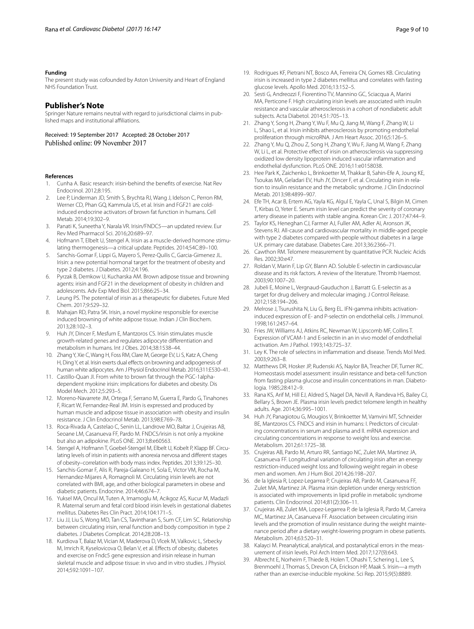#### **Funding**

The present study was cofounded by Aston University and Heart of England NHS Foundation Trust.

#### **Publisher's Note**

Springer Nature remains neutral with regard to jurisdictional claims in published maps and institutional affiliations.

Received: 19 September 2017 Accepted: 28 October 2017 Published online: 09 November 2017

#### **References**

- <span id="page-8-0"></span>1. Cunha A. Basic research: irisin-behind the benefts of exercise. Nat Rev Endocrinol. 2012;8:195.
- 2. Lee P, Linderman JD, Smith S, Brychta RJ, Wang J, Idelson C, Perron RM, Werner CD, Phan GQ, Kammula US, et al. Irisin and FGF21 are coldinduced endocrine activators of brown fat function in humans. Cell Metab. 2014;19:302–9.
- <span id="page-8-1"></span>3. Panati K, Suneetha Y, Narala VR. Irisin/FNDC5—an updated review. Eur Rev Med Pharmacol Sci. 2016;20:689–97.
- <span id="page-8-2"></span>4. Hofmann T, Elbelt U, Stengel A. Irisin as a muscle-derived hormone stimulating thermogenesis—a critical update. Peptides. 2014;54C:89–100.
- <span id="page-8-33"></span>5. Sanchis-Gomar F, Lippi G, Mayero S, Perez-Quilis C, Garcia-Gimenez JL. Irisin: a new potential hormonal target for the treatment of obesity and type 2 diabetes. J Diabetes. 2012;4:196.
- 6. Pyrzak B, Demkow U, Kucharska AM. Brown adipose tissue and browning agents: irisin and FGF21 in the development of obesity in children and adolescents. Adv Exp Med Biol. 2015;866:25–34.
- <span id="page-8-3"></span>7. Leung PS. The potential of irisin as a therapeutic for diabetes. Future Med Chem. 2017;9:529–32.
- <span id="page-8-4"></span>8. Mahajan RD, Patra SK. Irisin, a novel myokine responsible for exercise induced browning of white adipose tissue. Indian J Clin Biochem. 2013;28:102–3.
- 9. Huh JY, Dincer F, Mesfum E, Mantzoros CS. Irisin stimulates muscle growth-related genes and regulates adipocyte diferentiation and metabolism in humans. Int J Obes. 2014;38:1538–44.
- <span id="page-8-5"></span>10. Zhang Y, Xie C, Wang H, Foss RM, Clare M, George EV, Li S, Katz A, Cheng H, Ding Y, et al. Irisin exerts dual effects on browning and adipogenesis of human white adipocytes. Am J Physiol Endocrinol Metab. 2016;311:E530–41.
- <span id="page-8-6"></span>11. Castillo-Quan JI. From white to brown fat through the PGC-1alphadependent myokine irisin: implications for diabetes and obesity. Dis Model Mech. 2012;5:293–5.
- <span id="page-8-7"></span>12. Moreno-Navarrete JM, Ortega F, Serrano M, Guerra E, Pardo G, Tinahones F, Ricart W, Fernandez-Real JM. Irisin is expressed and produced by human muscle and adipose tissue in association with obesity and insulin resistance. J Clin Endocrinol Metab. 2013;98:E769–78.
- <span id="page-8-8"></span>13. Roca-Rivada A, Castelao C, Senin LL, Landrove MO, Baltar J, Crujeiras AB, Seoane LM, Casanueva FF, Pardo M. FNDC5/irisin is not only a myokine but also an adipokine. PLoS ONE. 2013;8:e60563.
- <span id="page-8-9"></span>14. Stengel A, Hofmann T, Goebel-Stengel M, Elbelt U, Kobelt P, Klapp BF. Circulating levels of irisin in patients with anorexia nervosa and diferent stages of obesity–correlation with body mass index. Peptides. 2013;39:125–30.
- <span id="page-8-10"></span>15. Sanchis-Gomar F, Alis R, Pareja-Galeano H, Sola E, Victor VM, Rocha M, Hernandez-Mijares A, Romagnoli M. Circulating irisin levels are not correlated with BMI, age, and other biological parameters in obese and diabetic patients. Endocrine. 2014;46:674–7.
- <span id="page-8-11"></span>16. Yuksel MA, Oncul M, Tuten A, Imamoglu M, Acikgoz AS, Kucur M, Madazli R. Maternal serum and fetal cord blood irisin levels in gestational diabetes mellitus. Diabetes Res Clin Pract. 2014;104:171–5.
- <span id="page-8-12"></span>17. Liu JJ, Liu S, Wong MD, Tan CS, Tavintharan S, Sum CF, Lim SC. Relationship between circulating irisin, renal function and body composition in type 2 diabetes. J Diabetes Complicat. 2014;28:208–13.
- <span id="page-8-13"></span>18. Kurdiova T, Balaz M, Vician M, Maderova D, Vlcek M, Valkovic L, Srbecky M, Imrich R, Kyselovicova O, Belan V, et al. Efects of obesity, diabetes and exercise on Fndc5 gene expression and irisin release in human skeletal muscle and adipose tissue: in vivo and in vitro studies. J Physiol. 2014;592:1091–107.
- <span id="page-8-14"></span>19. Rodrigues KF, Pietrani NT, Bosco AA, Ferreira CN, Gomes KB. Circulating irisin is increased in type 2 diabetes mellitus and correlates with fasting glucose levels. Apollo Med. 2016;13:152–5.
- <span id="page-8-15"></span>20. Sesti G, Andreozzi F, Fiorentino TV, Mannino GC, Sciacqua A, Marini MA, Perticone F. High circulating irisin levels are associated with insulin resistance and vascular atherosclerosis in a cohort of nondiabetic adult subjects. Acta Diabetol. 2014;51:705–13.
- 21. Zhang Y, Song H, Zhang Y, Wu F, Mu Q, Jiang M, Wang F, Zhang W, Li L, Shao L, et al. Irisin inhibits atherosclerosis by promoting endothelial proliferation through microRNA. J Am Heart Assoc. 2016;5:126–5.
- <span id="page-8-16"></span>22. Zhang Y, Mu Q, Zhou Z, Song H, Zhang Y, Wu F, Jiang M, Wang F, Zhang W, Li L, et al. Protective effect of irisin on atherosclerosis via suppressing oxidized low density lipoprotein induced vascular infammation and endothelial dysfunction. PLoS ONE. 2016;11:e0158038.
- <span id="page-8-17"></span>23. Hee Park K, Zaichenko L, Brinkoetter M, Thakkar B, Sahin-Efe A, Joung KE, Tsoukas MA, Geladari EV, Huh JY, Dincer F, et al. Circulating irisin in relation to insulin resistance and the metabolic syndrome. J Clin Endocrinol Metab. 2013;98:4899–907.
- <span id="page-8-18"></span>24. Efe TH, Acar B, Ertem AG, Yayla KG, Algul E, Yayla C, Unal S, Bilgin M, Cimen T, Kirbas O, Yeter E. Serum irisin level can predict the severity of coronary artery disease in patients with stable angina. Korean Circ J. 2017;47:44–9.
- <span id="page-8-19"></span>25. Taylor KS, Heneghan CJ, Farmer AJ, Fuller AM, Adler AI, Aronson JK, Stevens RJ. All-cause and cardiovascular mortality in middle-aged people with type 2 diabetes compared with people without diabetes in a large U.K. primary care database. Diabetes Care. 2013;36:2366–71.
- <span id="page-8-20"></span>26. Cawthon RM. Telomere measurement by quantitative PCR. Nucleic Acids Res. 2002;30:e47.
- <span id="page-8-21"></span>27. Roldan V, Marin F, Lip GY, Blann AD. Soluble E-selectin in cardiovascular disease and its risk factors. A review of the literature. Thromb Haemost. 2003;90:1007–20.
- <span id="page-8-22"></span>28. Jubeli E, Moine L, Vergnaud-Gauduchon J, Barratt G, E-selectin as a target for drug delivery and molecular imaging. J Control Release. 2012;158:194–206.
- <span id="page-8-23"></span>29. Melrose J, Tsurushita N, Liu G, Berg EL. IFN-gamma inhibits activationinduced expression of E- and P-selectin on endothelial cells. J Immunol. 1998;161:2457–64.
- <span id="page-8-24"></span>30. Fries JW, Williams AJ, Atkins RC, Newman W, Lipscomb MF, Collins T. Expression of VCAM-1 and E-selectin in an in vivo model of endothelial activation. Am J Pathol. 1993;143:725–37.
- <span id="page-8-25"></span>31. Ley K. The role of selectins in infammation and disease. Trends Mol Med. 2003;9:263–8.
- <span id="page-8-26"></span>32. Matthews DR, Hosker JP, Rudenski AS, Naylor BA, Treacher DF, Turner RC. Homeostasis model assessment: insulin resistance and beta-cell function from fasting plasma glucose and insulin concentrations in man. Diabetologia. 1985;28:412–9.
- <span id="page-8-27"></span>33. Rana KS, Arif M, Hill EJ, Aldred S, Nagel DA, Nevill A, Randeva HS, Bailey CJ, Bellary S, Brown JE. Plasma irisin levels predict telomere length in healthy adults. Age. 2014;36:995–1001.
- <span id="page-8-28"></span>34. Huh JY, Panagiotou G, Mougios V, Brinkoetter M, Vamvini MT, Schneider BE, Mantzoros CS. FNDC5 and irisin in humans: I. Predictors of circulating concentrations in serum and plasma and II. mRNA expression and circulating concentrations in response to weight loss and exercise. Metabolism. 2012;61:1725–38.
- <span id="page-8-29"></span>35. Crujeiras AB, Pardo M, Arturo RR, Santiago NC, Zulet MA, Martinez JA, Casanueva FF. Longitudinal variation of circulating irisin after an energy restriction-induced weight loss and following weight regain in obese men and women. Am J Hum Biol. 2014;26:198–207.
- 36. de la Iglesia R, Lopez-Legarrea P, Crujeiras AB, Pardo M, Casanueva FF, Zulet MA, Martinez JA. Plasma irisin depletion under energy restriction is associated with improvements in lipid profle in metabolic syndrome patients. Clin Endocrinol. 2014;81(2):306–11.
- <span id="page-8-30"></span>37. Crujeiras AB, Zulet MA, Lopez-Legarrea P, de la Iglesia R, Pardo M, Carreira MC, Martinez JA, Casanueva FF. Association between circulating irisin levels and the promotion of insulin resistance during the weight maintenance period after a dietary weight-lowering program in obese patients. Metabolism. 2014;63:520–31.
- <span id="page-8-31"></span>38. Kalayci M. Preanalytical, analytical, and postanalytical errors in the measurement of irisin levels. Pol Arch Intern Med. 2017;127(9):643.
- <span id="page-8-32"></span>39. Albrecht E, Norheim F, Thiede B, Holen T, Ohashi T, Schering L, Lee S, Brenmoehl J, Thomas S, Drevon CA, Erickson HP, Maak S. Irisin—a myth rather than an exercise-inducible myokine. Sci Rep. 2015;9(5):8889.